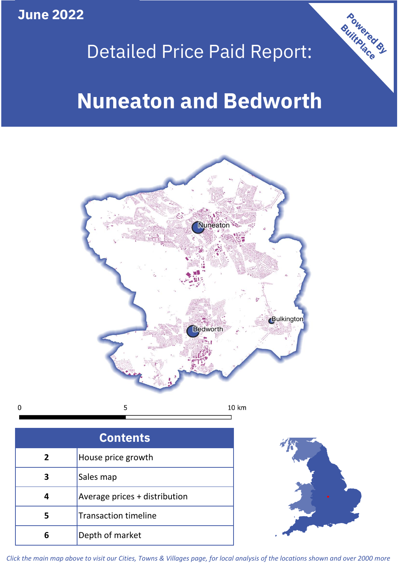**June 2022**

## Detailed Price Paid Report:

# **Nuneaton and Bedworth**



 $\mathbf 0$ 

| <b>Contents</b> |                               |  |  |
|-----------------|-------------------------------|--|--|
| $\mathbf{2}$    | House price growth            |  |  |
|                 | Sales map                     |  |  |
|                 | Average prices + distribution |  |  |
| 5               | <b>Transaction timeline</b>   |  |  |
| 6               | Depth of market               |  |  |



Powered By

*Click the main map above to visit our Cities, Towns & Villages page, for local analysis of the locations shown and over 2000 more*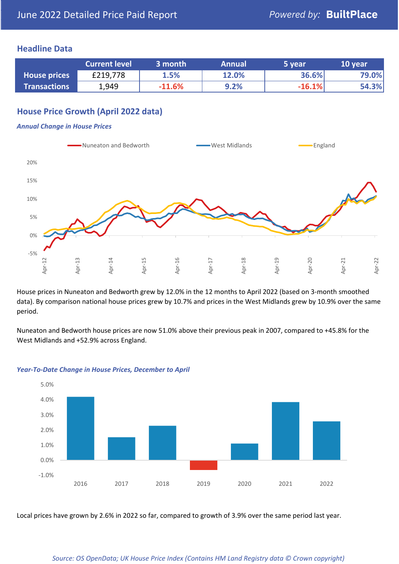#### **Headline Data**

|                     | <b>Current level</b> | 3 month  | <b>Annual</b> | 5 year   | 10 year |
|---------------------|----------------------|----------|---------------|----------|---------|
| <b>House prices</b> | £219,778             | 1.5%     | 12.0%         | 36.6%    | 79.0%   |
| <b>Transactions</b> | 1,949                | $-11.6%$ | 9.2%          | $-16.1%$ | 54.3%   |

## **House Price Growth (April 2022 data)**

#### *Annual Change in House Prices*



House prices in Nuneaton and Bedworth grew by 12.0% in the 12 months to April 2022 (based on 3-month smoothed data). By comparison national house prices grew by 10.7% and prices in the West Midlands grew by 10.9% over the same period.

Nuneaton and Bedworth house prices are now 51.0% above their previous peak in 2007, compared to +45.8% for the West Midlands and +52.9% across England.



#### *Year-To-Date Change in House Prices, December to April*

Local prices have grown by 2.6% in 2022 so far, compared to growth of 3.9% over the same period last year.

*Source: OS OpenData; UK House Price Index (Contains HM Land Registry data © Crown copyright)*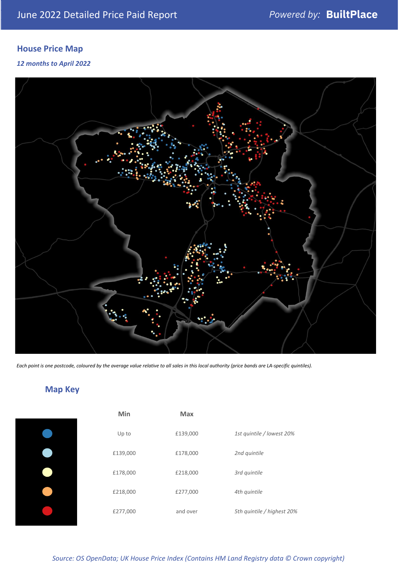## **House Price Map**

#### *12 months to April 2022*



*Each point is one postcode, coloured by the average value relative to all sales in this local authority (price bands are LA-specific quintiles).*

## **Map Key**

| Min      | <b>Max</b> |                            |
|----------|------------|----------------------------|
| Up to    | £139,000   | 1st quintile / lowest 20%  |
| £139,000 | £178,000   | 2nd quintile               |
| £178,000 | £218,000   | 3rd quintile               |
| £218,000 | £277,000   | 4th quintile               |
| £277,000 | and over   | 5th quintile / highest 20% |
|          |            |                            |

### *Source: OS OpenData; UK House Price Index (Contains HM Land Registry data © Crown copyright)*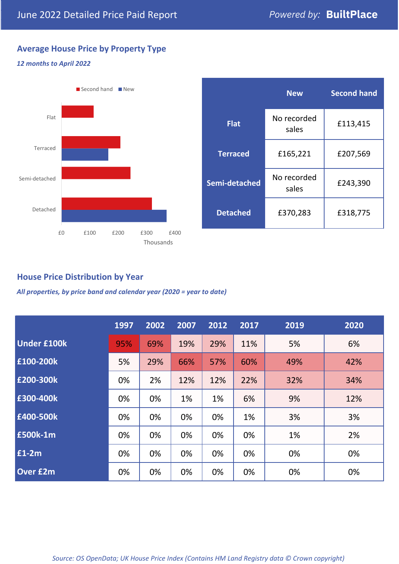## **Average House Price by Property Type**

## *12 months to April 2022*



|                 | <b>New</b>           | <b>Second hand</b> |  |
|-----------------|----------------------|--------------------|--|
| <b>Flat</b>     | No recorded<br>sales | £113,415           |  |
| <b>Terraced</b> | £165,221             | £207,569           |  |
| Semi-detached   | No recorded<br>sales | £243,390           |  |
| <b>Detached</b> | £370,283             | £318,775           |  |

## **House Price Distribution by Year**

*All properties, by price band and calendar year (2020 = year to date)*

|                    | 1997 | 2002 | 2007 | 2012 | 2017 | 2019 | 2020 |
|--------------------|------|------|------|------|------|------|------|
| <b>Under £100k</b> | 95%  | 69%  | 19%  | 29%  | 11%  | 5%   | 6%   |
| £100-200k          | 5%   | 29%  | 66%  | 57%  | 60%  | 49%  | 42%  |
| E200-300k          | 0%   | 2%   | 12%  | 12%  | 22%  | 32%  | 34%  |
| £300-400k          | 0%   | 0%   | 1%   | 1%   | 6%   | 9%   | 12%  |
| £400-500k          | 0%   | 0%   | 0%   | 0%   | 1%   | 3%   | 3%   |
| <b>£500k-1m</b>    | 0%   | 0%   | 0%   | 0%   | 0%   | 1%   | 2%   |
| £1-2m              | 0%   | 0%   | 0%   | 0%   | 0%   | 0%   | 0%   |
| <b>Over £2m</b>    | 0%   | 0%   | 0%   | 0%   | 0%   | 0%   | 0%   |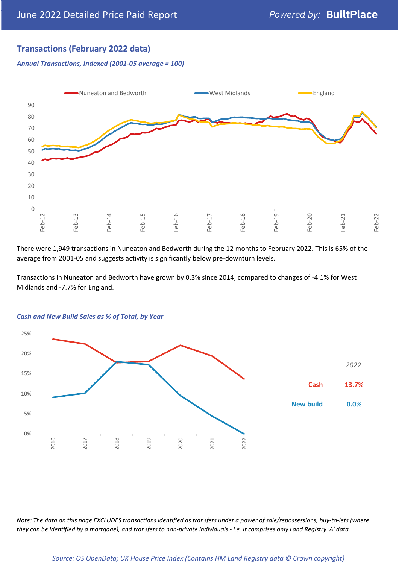## **Transactions (February 2022 data)**

*Annual Transactions, Indexed (2001-05 average = 100)*



There were 1,949 transactions in Nuneaton and Bedworth during the 12 months to February 2022. This is 65% of the average from 2001-05 and suggests activity is significantly below pre-downturn levels.

Transactions in Nuneaton and Bedworth have grown by 0.3% since 2014, compared to changes of -4.1% for West Midlands and -7.7% for England.



#### *Cash and New Build Sales as % of Total, by Year*

*Note: The data on this page EXCLUDES transactions identified as transfers under a power of sale/repossessions, buy-to-lets (where they can be identified by a mortgage), and transfers to non-private individuals - i.e. it comprises only Land Registry 'A' data.*